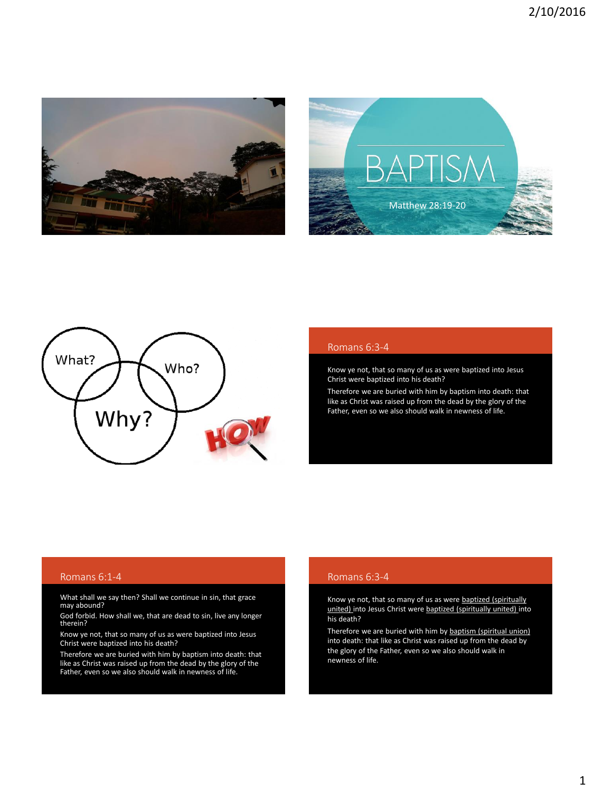





#### Romans 6:3-4

Know ye not, that so many of us as were baptized into Jesus Christ were baptized into his death?

Therefore we are buried with him by baptism into death: that like as Christ was raised up from the dead by the glory of the Father, even so we also should walk in newness of life.

#### Romans 6:1-4

What shall we say then? Shall we continue in sin, that grace may abound?

God forbid. How shall we, that are dead to sin, live any longer therein?

Know ye not, that so many of us as were baptized into Jesus Christ were baptized into his death?

Therefore we are buried with him by baptism into death: that like as Christ was raised up from the dead by the glory of the Father, even so we also should walk in newness of life.

#### Romans 6:3-4

Know ye not, that so many of us as were baptized (spiritually united) into Jesus Christ were baptized (spiritually united) into his death?

Therefore we are buried with him by baptism (spiritual union) into death: that like as Christ was raised up from the dead by the glory of the Father, even so we also should walk in newness of life.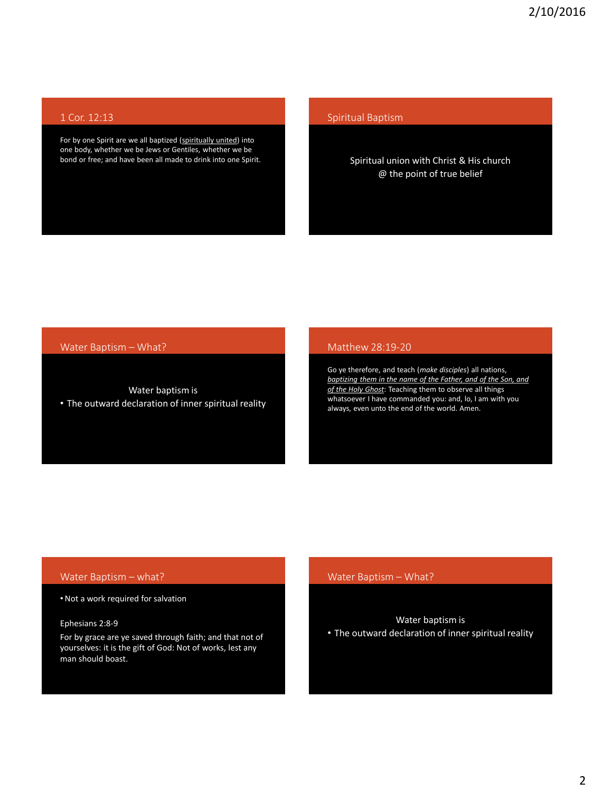# 1 Cor. 12:13

For by one Spirit are we all baptized (spiritually united) into one body, whether we be Jews or Gentiles, whether we be bond or free; and have been all made to drink into one Spirit.

## Spiritual Baptism

# Spiritual union with Christ & His church @ the point of true belief

## Water Baptism – What?

Water baptism is • The outward declaration of inner spiritual reality

#### Matthew 28:19-20

Go ye therefore, and teach (*make disciples*) all nations, *baptizing them in the name of the Father, and of the Son, and of the Holy Ghost*: Teaching them to observe all things whatsoever I have commanded you: and, lo, I am with you always, even unto the end of the world. Amen.

## Water Baptism – what?

•Not a work required for salvation

# Ephesians 2:8-9

For by grace are ye saved through faith; and that not of yourselves: it is the gift of God: Not of works, lest any man should boast.

## Water Baptism – What?

#### Water baptism is

• The outward declaration of inner spiritual reality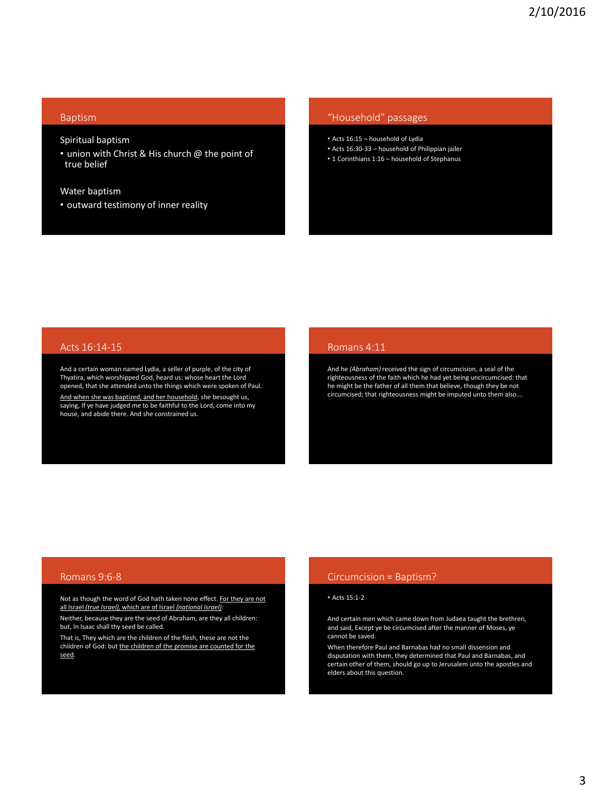#### Baptism

Spiritual baptism

• union with Christ & His church @ the point of true belief

Water baptism

• outward testimony of inner reality

#### "Household" passages

- Acts 16:15 household of Lydia
- Acts 16:30-33 household of Philippian jailer
- 1 Corinthians 1:16 household of Stephanus

#### Acts 16:14-15

And a certain woman named Lydia, a seller of purple, of the city of Thyatira, which worshipped God, heard us: whose heart the Lord opened, that she attended unto the things which were spoken of Paul. <u>And when she was baptized, and her household</u>, she besought us,<br>saying, If ye have judged me to be faithful to the Lord, come into my house, and abide there. And she constrained us.

#### Romans 4:11

And he *(Abraham)* received the sign of circumcision, a seal of the righteousness of the faith which he had yet being uncircumcised: that he might be the father of all them that believe, though they be not circumcised; that righteousness might be imputed unto them also….

#### Romans 9:6-8

Not as though the word of God hath taken none effect. For they are not all Israel *(true Israel),* which are of Israel *(national Israel):*

Neither, because they are the seed of Abraham, are they all children: but, In Isaac shall thy seed be called.

That is, They which are the children of the flesh, these are not the children of God: but the children of the promise are counted for the seed.

# Circumcision = Baptism?

#### • Acts 15:1-2

And certain men which came down from Judaea taught the brethren, and said, Except ye be circumcised after the manner of Moses, ye cannot be saved.

When therefore Paul and Barnabas had no small dissension and disputation with them, they determined that Paul and Barnabas, and certain other of them, should go up to Jerusalem unto the apostles and elders about this question.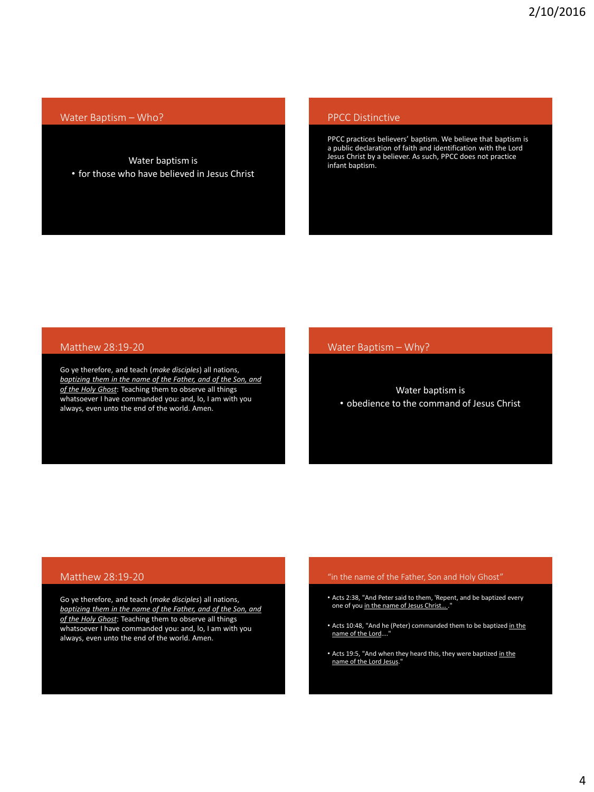## Water Baptism – Who?

Water baptism is • for those who have believed in Jesus Christ

## PPCC Distinctive

PPCC practices believers' baptism. We believe that baptism is a public declaration of faith and identification with the Lord Jesus Christ by a believer. As such, PPCC does not practice infant baptism.

## Matthew 28:19-20

Go ye therefore, and teach (*make disciples*) all nations, *baptizing them in the name of the Father, and of the Son, and of the Holy Ghost*: Teaching them to observe all things whatsoever I have commanded you: and, lo, I am with you always, even unto the end of the world. Amen.

### Water Baptism – Why?

## Water baptism is • obedience to the command of Jesus Christ

### Matthew 28:19-20

Go ye therefore, and teach (*make disciples*) all nations, *baptizing them in the name of the Father, and of the Son, and of the Holy Ghost*: Teaching them to observe all things whatsoever I have commanded you: and, lo, I am with you always, even unto the end of the world. Amen.

#### "in the name of the Father, Son and Holy Ghost"

- Acts 2:38, "And Peter said to them, 'Repent, and be baptized every one of you in the name of Jesus Christ....
- Acts 10:48, "And he (Peter) commanded them to be baptized in the name of the Lord...
- Acts 19:5, "And when they heard this, they were baptized in the name of the Lord Jesus."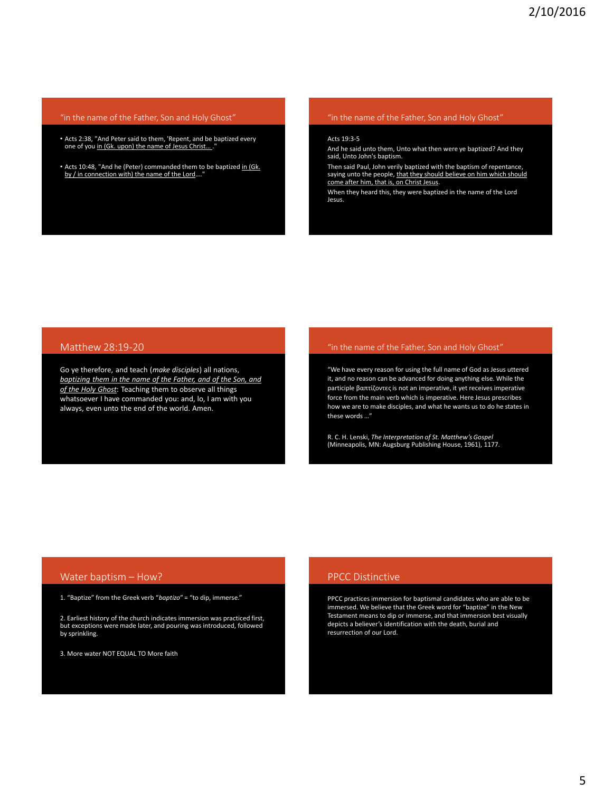#### "in the name of the Father, Son and Holy Ghost"

- Acts 2:38, "And Peter said to them, 'Repent, and be baptized every one of you in (Gk. upon) the name of Jesus Christ...."
- Acts 10:48, "And he (Peter) commanded them to be baptized in (Gk. by / in connection with) the name of the Lord..."

### "in the name of the Father, Son and Holy Ghost"

#### Acts 19:3-5

And he said unto them, Unto what then were ye baptized? And they said, Unto John's baptism.

Then said Paul, John verily baptized with the baptism of repentance, saying unto the people, that they should believe on him which should come after him, that is, on Christ Jesus.

When they heard this, they were baptized in the name of the Lord Jesus.

# Matthew 28:19-20

Go ye therefore, and teach (*make disciples*) all nations, *baptizing them in the name of the Father, and of the Son, and of the Holy Ghost*: Teaching them to observe all things whatsoever I have commanded you: and, lo, I am with you always, even unto the end of the world. Amen.

#### "in the name of the Father, Son and Holy Ghost"

"We have every reason for using the full name of God as Jesus uttered it, and no reason can be advanced for doing anything else. While the participle βαπτίζοντες is not an imperative, it yet receives imperative force from the main verb which is imperative. Here Jesus prescribes how we are to make disciples, and what he wants us to do he states in these words …"

R. C. H. Lenski, *The Interpretation of St. Matthew's Gospel* (Minneapolis, MN: Augsburg Publishing House, 1961), 1177.

## Water baptism – How?

1. "Baptize" from the Greek verb "*baptizo*" = "to dip, immerse."

2. Earliest history of the church indicates immersion was practiced first, but exceptions were made later, and pouring was introduced, followed by sprinkling.

3. More water NOT EQUAL TO More faith

## PPCC Distinctive

PPCC practices immersion for baptismal candidates who are able to be immersed. We believe that the Greek word for "baptize" in the New Testament means to dip or immerse, and that immersion best visually depicts a believer's identification with the death, burial and resurrection of our Lord.